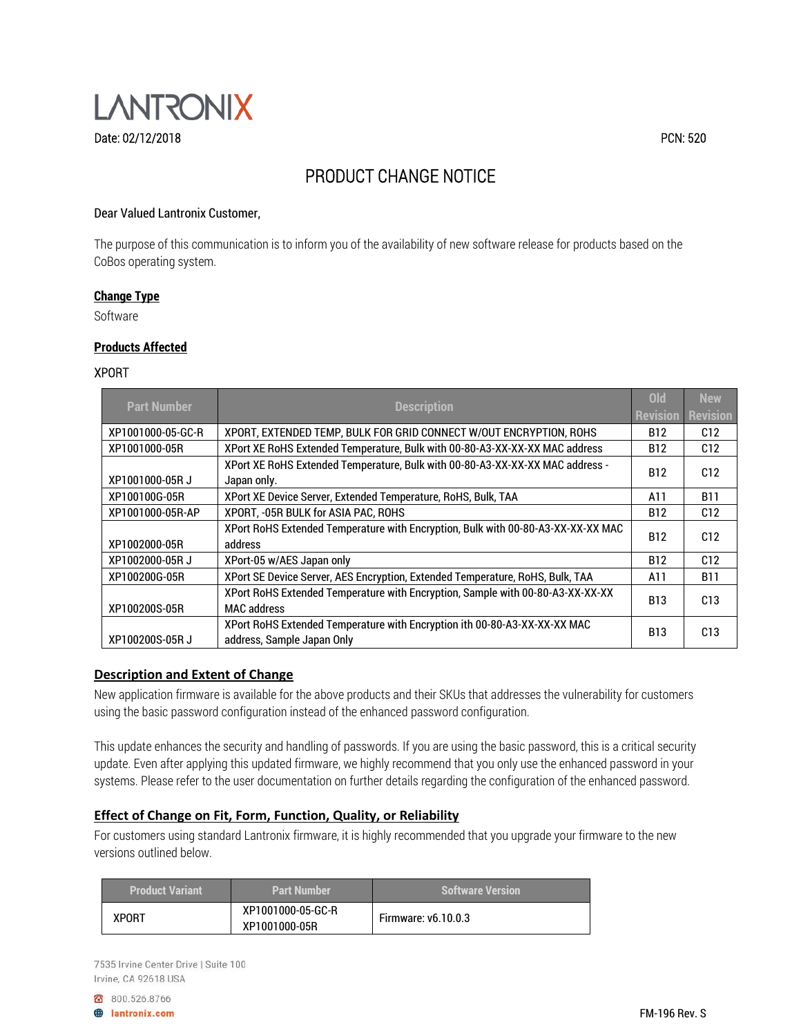

# PRODUCT CHANGE NOTICE

## Dear Valued Lantronix Customer,

The purpose of this communication is to inform you of the availability of new software release for products based on the CoBos operating system.

#### **Change Type**

Software

### **Products Affected**

#### XPORT

| <b>Part Number</b> |                                                                                  | <b>Old</b> | <b>New</b>      |
|--------------------|----------------------------------------------------------------------------------|------------|-----------------|
|                    | <b>Description</b>                                                               |            | <b>Revision</b> |
| XP1001000-05-GC-R  | XPORT, EXTENDED TEMP, BULK FOR GRID CONNECT W/OUT ENCRYPTION, ROHS               | B12        | C <sub>12</sub> |
| XP1001000-05R      | XPort XE RoHS Extended Temperature, Bulk with 00-80-A3-XX-XX-XX MAC address      | B12        | C12             |
|                    | XPort XE RoHS Extended Temperature, Bulk with 00-80-A3-XX-XX-XX MAC address -    | <b>B12</b> | C12             |
| XP1001000-05RJ     | Japan only.                                                                      |            |                 |
| XP100100G-05R      | XPort XE Device Server, Extended Temperature, RoHS, Bulk, TAA                    | A11        | <b>B11</b>      |
| XP1001000-05R-AP   | XPORT, -05R BULK for ASIA PAC, ROHS                                              | B12        | C12             |
|                    | XPort RoHS Extended Temperature with Encryption, Bulk with 00-80-A3-XX-XX-XX MAC | <b>B12</b> | C12             |
| XP1002000-05R      | address                                                                          |            |                 |
| XP1002000-05RJ     | XPort-05 w/AES Japan only                                                        | <b>B12</b> | C12             |
| XP100200G-05R      | XPort SE Device Server, AES Encryption, Extended Temperature, RoHS, Bulk, TAA    | A11        | <b>B11</b>      |
|                    | XPort RoHS Extended Temperature with Encryption, Sample with 00-80-A3-XX-XX-XX   | <b>B13</b> | C13             |
| XP100200S-05R      | <b>MAC</b> address                                                               |            |                 |
|                    | XPort RoHS Extended Temperature with Encryption ith 00-80-A3-XX-XX-XX MAC        | <b>B13</b> | C13             |
| XP100200S-05R J    | address, Sample Japan Only                                                       |            |                 |

## **Description and Extent of Change**

New application firmware is available for the above products and their SKUs that addresses the vulnerability for customers using the basic password configuration instead of the enhanced password configuration.

This update enhances the security and handling of passwords. If you are using the basic password, this is a critical security update. Even after applying this updated firmware, we highly recommend that you only use the enhanced password in your systems. Please refer to the user documentation on further details regarding the configuration of the enhanced password.

# **Effect of Change on Fit, Form, Function, Quality, or Reliability**

For customers using standard Lantronix firmware, it is highly recommended that you upgrade your firmware to the new versions outlined below.

| <b>Product Variant</b> | <b>Part Number</b>                 | <b>Software Version</b>    |
|------------------------|------------------------------------|----------------------------|
| <b>XPORT</b>           | XP1001000-05-GC-R<br>XP1001000-05R | <b>Firmware: v6.10.0.3</b> |

7535 Irvine Center Drive | Suite 100 Irvine, CA 92618 USA

8 800.526.8766 **A** lantronix.com